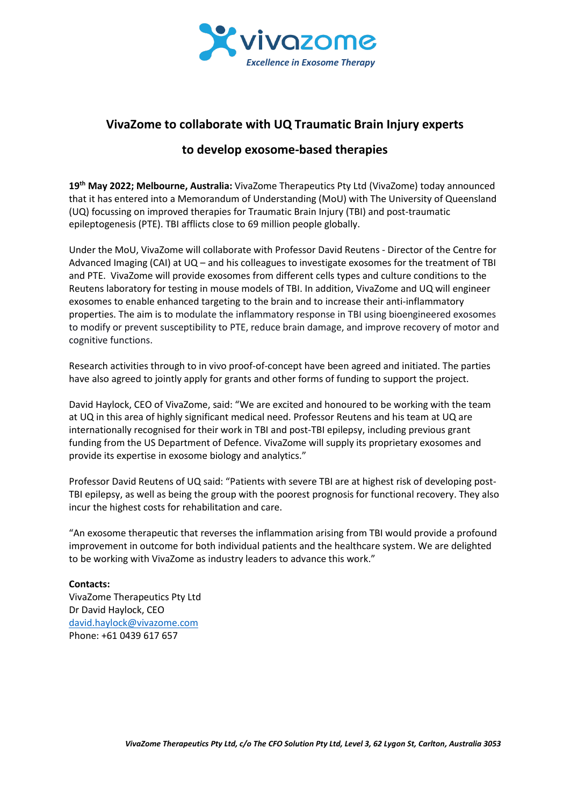

# **VivaZome to collaborate with UQ Traumatic Brain Injury experts**

# **to develop exosome-based therapies**

**19th May 2022; Melbourne, Australia:** VivaZome Therapeutics Pty Ltd (VivaZome) today announced that it has entered into a Memorandum of Understanding (MoU) with The University of Queensland (UQ) focussing on improved therapies for Traumatic Brain Injury (TBI) and post-traumatic epileptogenesis (PTE). TBI afflicts close to 69 million people globally.

Under the MoU, VivaZome will collaborate with Professor David Reutens - Director of the Centre for Advanced Imaging (CAI) at UQ – and his colleagues to investigate exosomes for the treatment of TBI and PTE. VivaZome will provide exosomes from different cells types and culture conditions to the Reutens laboratory for testing in mouse models of TBI. In addition, VivaZome and UQ will engineer exosomes to enable enhanced targeting to the brain and to increase their anti-inflammatory properties. The aim is to modulate the inflammatory response in TBI using bioengineered exosomes to modify or prevent susceptibility to PTE, reduce brain damage, and improve recovery of motor and cognitive functions.

Research activities through to in vivo proof-of-concept have been agreed and initiated. The parties have also agreed to jointly apply for grants and other forms of funding to support the project.

David Haylock, CEO of VivaZome, said: "We are excited and honoured to be working with the team at UQ in this area of highly significant medical need. Professor Reutens and his team at UQ are internationally recognised for their work in TBI and post-TBI epilepsy, including previous grant funding from the US Department of Defence. VivaZome will supply its proprietary exosomes and provide its expertise in exosome biology and analytics."

Professor David Reutens of UQ said: "Patients with severe TBI are at highest risk of developing post-TBI epilepsy, as well as being the group with the poorest prognosis for functional recovery. They also incur the highest costs for rehabilitation and care.

"An exosome therapeutic that reverses the inflammation arising from TBI would provide a profound improvement in outcome for both individual patients and the healthcare system. We are delighted to be working with VivaZome as industry leaders to advance this work."

# **Contacts:**

VivaZome Therapeutics Pty Ltd Dr David Haylock, CEO [david.haylock@vivazome.com](mailto:david.haylock@vivazome.com) Phone: +61 0439 617 657